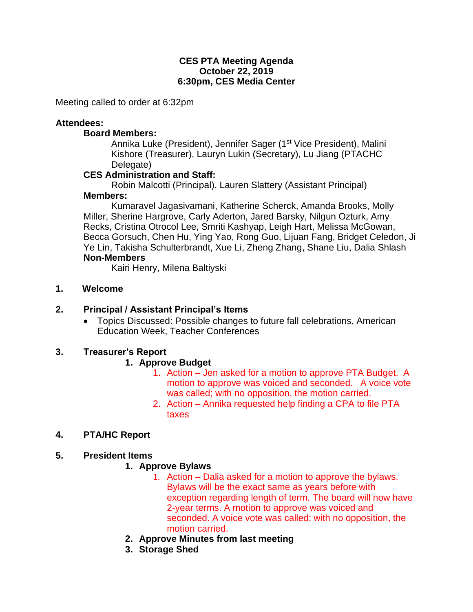#### **CES PTA Meeting Agenda October 22, 2019 6:30pm, CES Media Center**

Meeting called to order at 6:32pm

#### **Attendees:**

#### **Board Members:**

Annika Luke (President), Jennifer Sager (1<sup>st</sup> Vice President), Malini Kishore (Treasurer), Lauryn Lukin (Secretary), Lu Jiang (PTACHC Delegate)

### **CES Administration and Staff:**

Robin Malcotti (Principal), Lauren Slattery (Assistant Principal) **Members:** 

Kumaravel Jagasivamani, Katherine Scherck, Amanda Brooks, Molly Miller, Sherine Hargrove, Carly Aderton, Jared Barsky, Nilgun Ozturk, Amy Recks, Cristina Otrocol Lee, Smriti Kashyap, Leigh Hart, Melissa McGowan, Becca Gorsuch, Chen Hu, Ying Yao, Rong Guo, Lijuan Fang, Bridget Celedon, Ji Ye Lin, Takisha Schulterbrandt, Xue Li, Zheng Zhang, Shane Liu, Dalia Shlash **Non-Members**

Kairi Henry, Milena Baltiyski

**1. Welcome**

### **2. Principal / Assistant Principal's Items**

• Topics Discussed: Possible changes to future fall celebrations, American Education Week, Teacher Conferences

# **3. Treasurer's Report**

# **1. Approve Budget**

- 1. Action Jen asked for a motion to approve PTA Budget. A motion to approve was voiced and seconded. A voice vote was called; with no opposition, the motion carried.
- 2. Action Annika requested help finding a CPA to file PTA taxes

# **4. PTA/HC Report**

# **5. President Items**

#### **1. Approve Bylaws**

- 1. Action Dalia asked for a motion to approve the bylaws. Bylaws will be the exact same as years before with exception regarding length of term. The board will now have 2-year terms. A motion to approve was voiced and seconded. A voice vote was called; with no opposition, the motion carried.
- **2. Approve Minutes from last meeting**
- **3. Storage Shed**